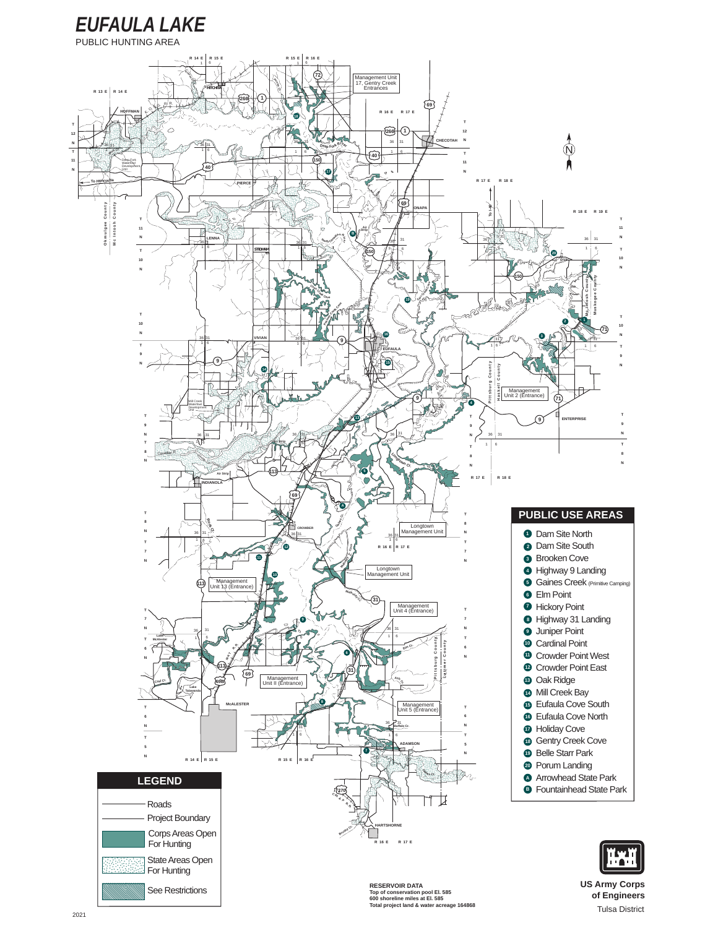

PUBLIC HUNTING AREA



Total project land & water acreage 164868

# of Engineers

**Tulsa District**